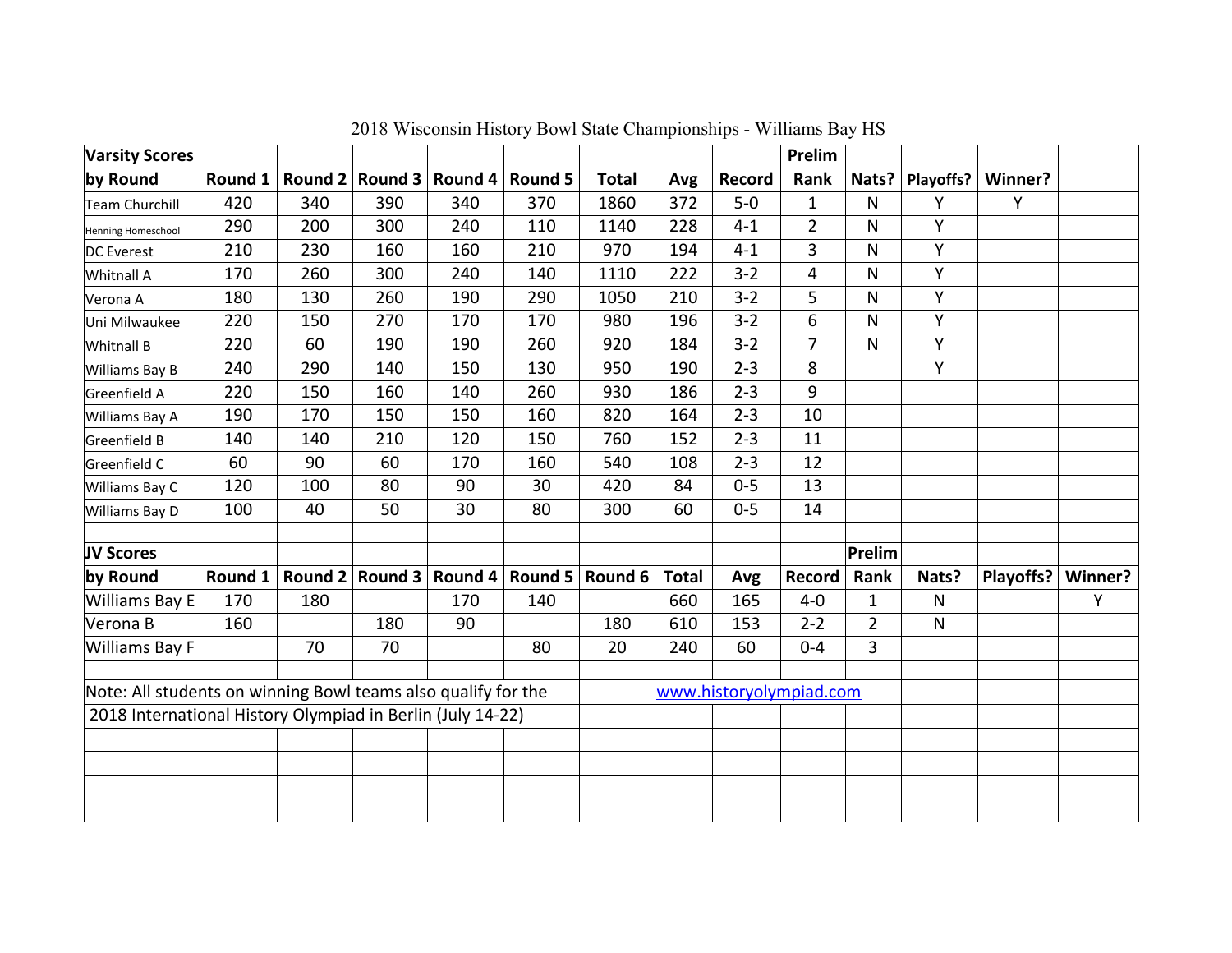| <b>Varsity Scores</b>                                         |         |     |                 |         |         |                         |              |         | Prelim         |                |              |           |         |
|---------------------------------------------------------------|---------|-----|-----------------|---------|---------|-------------------------|--------------|---------|----------------|----------------|--------------|-----------|---------|
| by Round                                                      | Round 1 |     | Round 2 Round 3 | Round 4 | Round 5 | <b>Total</b>            | Avg          | Record  | Rank           | Nats?          | Playoffs?    | Winner?   |         |
| Team Churchill                                                | 420     | 340 | 390             | 340     | 370     | 1860                    | 372          | $5-0$   | $\mathbf{1}$   | $\mathsf{N}$   | Y            | Y         |         |
| Henning Homeschool                                            | 290     | 200 | 300             | 240     | 110     | 1140                    | 228          | $4 - 1$ | $\overline{2}$ | N              | Y            |           |         |
| DC Everest                                                    | 210     | 230 | 160             | 160     | 210     | 970                     | 194          | $4 - 1$ | 3              | N              | Y            |           |         |
| Whitnall A                                                    | 170     | 260 | 300             | 240     | 140     | 1110                    | 222          | $3 - 2$ | 4              | N              | Y            |           |         |
| Verona A                                                      | 180     | 130 | 260             | 190     | 290     | 1050                    | 210          | $3 - 2$ | 5              | N              | Y            |           |         |
| Uni Milwaukee                                                 | 220     | 150 | 270             | 170     | 170     | 980                     | 196          | $3 - 2$ | 6              | N              | Y            |           |         |
| Whitnall B                                                    | 220     | 60  | 190             | 190     | 260     | 920                     | 184          | $3 - 2$ | $\overline{7}$ | $\mathsf{N}$   | Y            |           |         |
| Williams Bay B                                                | 240     | 290 | 140             | 150     | 130     | 950                     | 190          | $2 - 3$ | 8              |                | Y            |           |         |
| Greenfield A                                                  | 220     | 150 | 160             | 140     | 260     | 930                     | 186          | $2 - 3$ | 9              |                |              |           |         |
| Williams Bay A                                                | 190     | 170 | 150             | 150     | 160     | 820                     | 164          | $2 - 3$ | 10             |                |              |           |         |
| Greenfield B                                                  | 140     | 140 | 210             | 120     | 150     | 760                     | 152          | $2 - 3$ | 11             |                |              |           |         |
| Greenfield C                                                  | 60      | 90  | 60              | 170     | 160     | 540                     | 108          | $2 - 3$ | 12             |                |              |           |         |
| Williams Bay C                                                | 120     | 100 | 80              | 90      | 30      | 420                     | 84           | $0 - 5$ | 13             |                |              |           |         |
| Williams Bay D                                                | 100     | 40  | 50              | 30      | 80      | 300                     | 60           | $0 - 5$ | 14             |                |              |           |         |
|                                                               |         |     |                 |         |         |                         |              |         |                |                |              |           |         |
| JV Scores                                                     |         |     |                 |         |         |                         |              |         |                | Prelim         |              |           |         |
| by Round                                                      | Round 1 |     | Round 2 Round 3 | Round 4 | Round 5 | Round 6                 | <b>Total</b> | Avg     | Record         | Rank           | Nats?        | Playoffs? | Winner? |
| Williams Bay E                                                | 170     | 180 |                 | 170     | 140     |                         | 660          | 165     | $4-0$          | $\mathbf{1}$   | $\mathsf{N}$ |           | Y       |
| Verona B                                                      | 160     |     | 180             | 90      |         | 180                     | 610          | 153     | $2 - 2$        | $\overline{2}$ | $\mathsf{N}$ |           |         |
| Williams Bay F                                                |         | 70  | 70              |         | 80      | 20                      | 240          | 60      | $0 - 4$        | $\overline{3}$ |              |           |         |
|                                                               |         |     |                 |         |         |                         |              |         |                |                |              |           |         |
| Note: All students on winning Bowl teams also qualify for the |         |     |                 |         |         | www.historyolympiad.com |              |         |                |                |              |           |         |
| 2018 International History Olympiad in Berlin (July 14-22)    |         |     |                 |         |         |                         |              |         |                |                |              |           |         |
|                                                               |         |     |                 |         |         |                         |              |         |                |                |              |           |         |
|                                                               |         |     |                 |         |         |                         |              |         |                |                |              |           |         |
|                                                               |         |     |                 |         |         |                         |              |         |                |                |              |           |         |
|                                                               |         |     |                 |         |         |                         |              |         |                |                |              |           |         |

2018 Wisconsin History Bowl State Championships - Williams Bay HS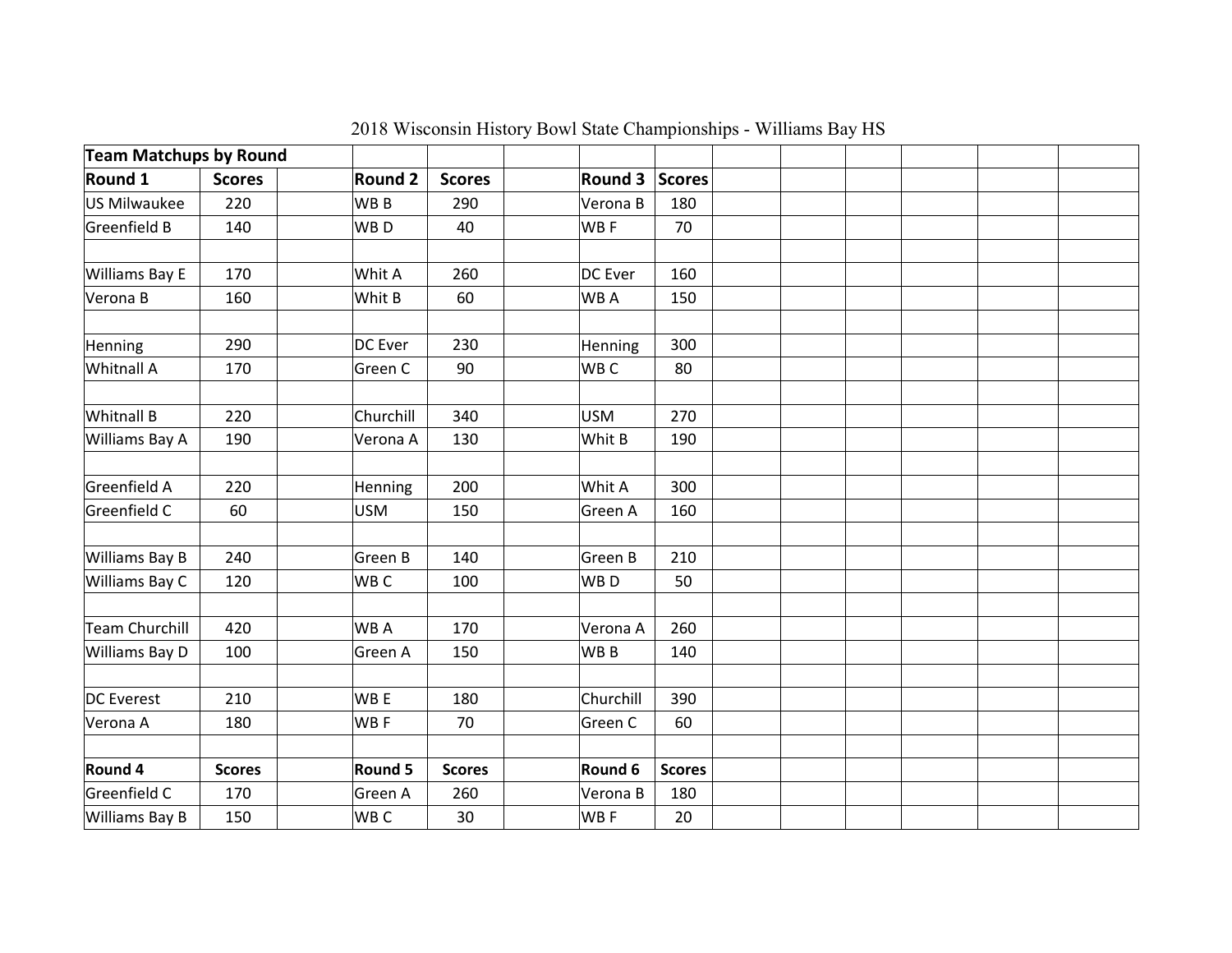| <b>Team Matchups by Round</b> |               |                 |               |                 |               |  |  |  |
|-------------------------------|---------------|-----------------|---------------|-----------------|---------------|--|--|--|
| Round 1                       | <b>Scores</b> | <b>Round 2</b>  | <b>Scores</b> | <b>Round 3</b>  | <b>Scores</b> |  |  |  |
| US Milwaukee                  | 220           | WB <sub>B</sub> | 290           | Verona B        | 180           |  |  |  |
| Greenfield B                  | 140           | WB <sub>D</sub> | 40            | WB F            | 70            |  |  |  |
|                               |               |                 |               |                 |               |  |  |  |
| Williams Bay E                | 170           | Whit A          | 260           | DC Ever         | 160           |  |  |  |
| Verona B                      | 160           | Whit B          | 60            | WB A            | 150           |  |  |  |
| Henning                       | 290           | <b>DC</b> Ever  | 230           | Henning         | 300           |  |  |  |
| Whitnall A                    | 170           | Green C         | 90            | WB C            | 80            |  |  |  |
|                               |               |                 |               |                 |               |  |  |  |
| Whitnall B                    | 220           | Churchill       | 340           | <b>USM</b>      | 270           |  |  |  |
| Williams Bay A                | 190           | Verona A        | 130           | Whit B          | 190           |  |  |  |
|                               |               |                 |               |                 |               |  |  |  |
| Greenfield A                  | 220           | Henning         | 200           | Whit A          | 300           |  |  |  |
| Greenfield C                  | 60            | <b>USM</b>      | 150           | Green A         | 160           |  |  |  |
|                               |               |                 |               |                 |               |  |  |  |
| Williams Bay B                | 240           | Green B         | 140           | Green B         | 210           |  |  |  |
| Williams Bay C                | 120           | WB C            | 100           | WB <sub>D</sub> | 50            |  |  |  |
|                               |               |                 |               |                 |               |  |  |  |
| Team Churchill                | 420           | WB A            | 170           | Verona A        | 260           |  |  |  |
| Williams Bay D                | 100           | Green A         | 150           | WB B            | 140           |  |  |  |
|                               |               |                 |               |                 |               |  |  |  |
| DC Everest                    | 210           | WB <sub>E</sub> | 180           | Churchill       | 390           |  |  |  |
| Verona A                      | 180           | WBF             | 70            | Green C         | 60            |  |  |  |
|                               |               |                 |               |                 |               |  |  |  |
| Round 4                       | <b>Scores</b> | Round 5         | <b>Scores</b> | Round 6         | <b>Scores</b> |  |  |  |
| Greenfield C                  | 170           | Green A         | 260           | Verona B        | 180           |  |  |  |
| Williams Bay B                | 150           | WB C            | 30            | WB F            | 20            |  |  |  |

2018 Wisconsin History Bowl State Championships - Williams Bay HS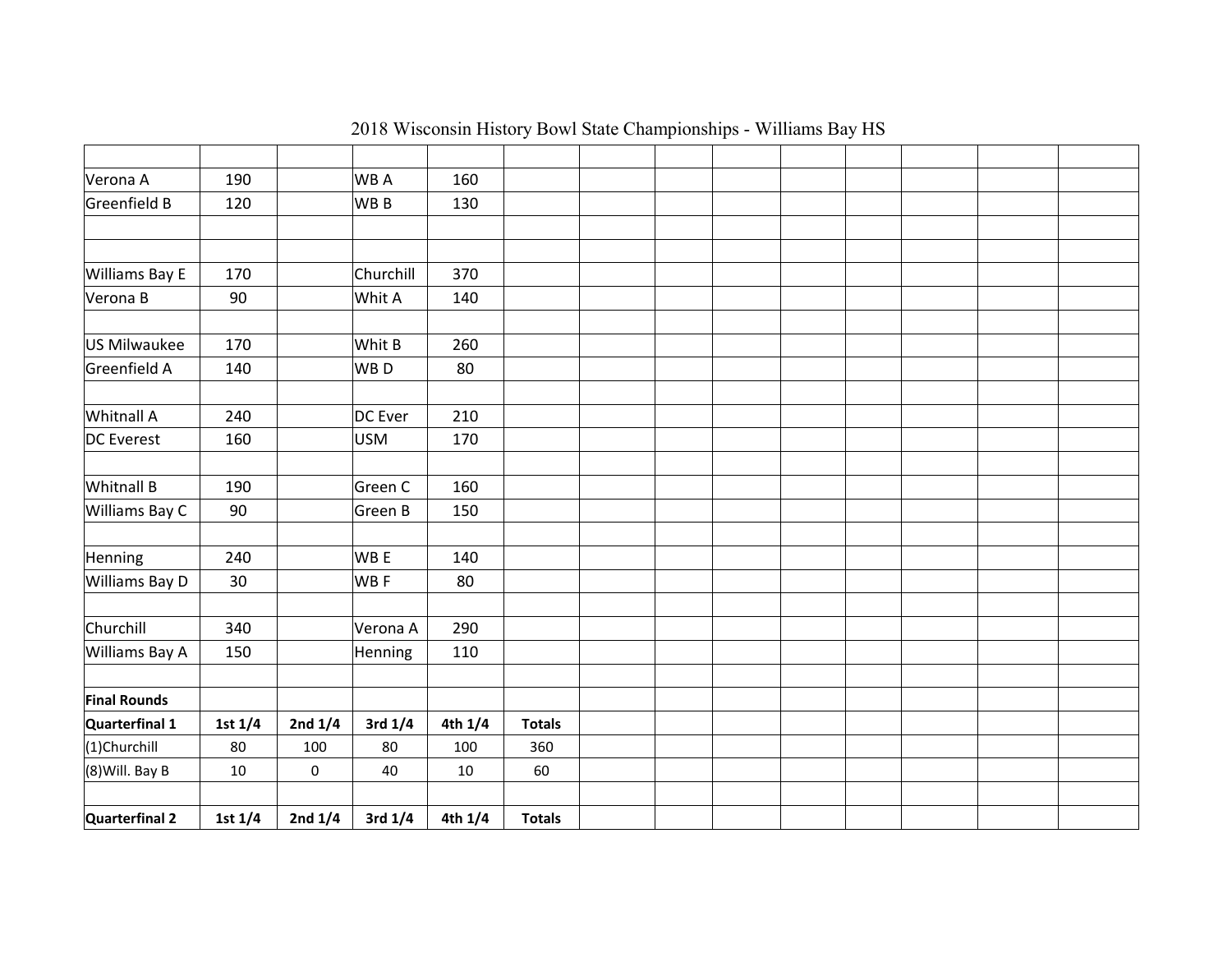| Verona A            | 190       |           | <b>WBA</b>      | 160     |               |  |  |  |  |
|---------------------|-----------|-----------|-----------------|---------|---------------|--|--|--|--|
| Greenfield B        | 120       |           | WB B            | 130     |               |  |  |  |  |
|                     |           |           |                 |         |               |  |  |  |  |
|                     |           |           |                 |         |               |  |  |  |  |
| Williams Bay E      | 170       |           | Churchill       | 370     |               |  |  |  |  |
| Verona B            | 90        |           | Whit A          | 140     |               |  |  |  |  |
|                     |           |           |                 |         |               |  |  |  |  |
| US Milwaukee        | 170       |           | Whit B          | 260     |               |  |  |  |  |
| Greenfield A        | 140       |           | WB <sub>D</sub> | 80      |               |  |  |  |  |
|                     |           |           |                 |         |               |  |  |  |  |
| Whitnall A          | 240       |           | DC Ever         | 210     |               |  |  |  |  |
| DC Everest          | 160       |           | <b>USM</b>      | 170     |               |  |  |  |  |
|                     |           |           |                 |         |               |  |  |  |  |
| <b>Whitnall B</b>   | 190       |           | Green C         | 160     |               |  |  |  |  |
| Williams Bay C      | 90        |           | Green B         | 150     |               |  |  |  |  |
|                     |           |           |                 |         |               |  |  |  |  |
| Henning             | 240       |           | WB E            | 140     |               |  |  |  |  |
| Williams Bay D      | 30        |           | WB F            | 80      |               |  |  |  |  |
|                     |           |           |                 |         |               |  |  |  |  |
| Churchill           | 340       |           | Verona A        | 290     |               |  |  |  |  |
| Williams Bay A      | 150       |           | Henning         | 110     |               |  |  |  |  |
|                     |           |           |                 |         |               |  |  |  |  |
| <b>Final Rounds</b> |           |           |                 |         |               |  |  |  |  |
| Quarterfinal 1      | 1st 1/4   | 2nd $1/4$ | 3rd 1/4         | 4th 1/4 | <b>Totals</b> |  |  |  |  |
| (1)Churchill        | 80        | 100       | 80              | 100     | 360           |  |  |  |  |
| $(8)$ Will. Bay B   | 10        | 0         | 40              | 10      | 60            |  |  |  |  |
|                     |           |           |                 |         |               |  |  |  |  |
| Quarterfinal 2      | 1st $1/4$ | 2nd $1/4$ | 3rd 1/4         | 4th 1/4 | <b>Totals</b> |  |  |  |  |

2018 Wisconsin History Bowl State Championships - Williams Bay HS